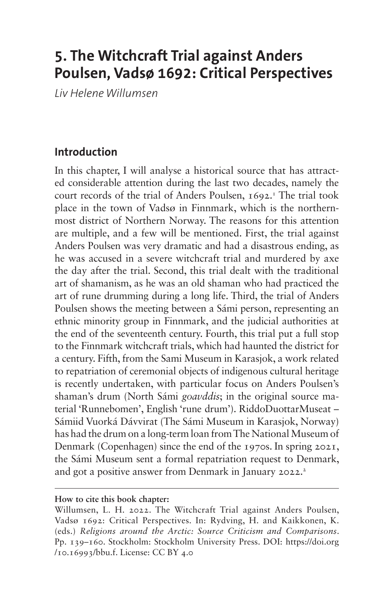# **5. The Witchcraft Trial against Anders Poulsen, Vadsø 1692: Critical Perspectives**

*Liv Helene Willumsen*

# **Introduction**

In this chapter, I will analyse a historical source that has attracted considerable attention during the last two decades, namely the court records of the trial of Anders Poulsen, 1692.<sup>1</sup> The trial took place in the town of Vadsø in Finnmark, which is the northernmost district of Northern Norway. The reasons for this attention are multiple, and a few will be mentioned. First, the trial against Anders Poulsen was very dramatic and had a disastrous ending, as he was accused in a severe witchcraft trial and murdered by axe the day after the trial. Second, this trial dealt with the traditional art of shamanism, as he was an old shaman who had practiced the art of rune drumming during a long life. Third, the trial of Anders Poulsen shows the meeting between a Sámi person, representing an ethnic minority group in Finnmark, and the judicial authorities at the end of the seventeenth century. Fourth, this trial put a full stop to the Finnmark witchcraft trials, which had haunted the district for a century. Fifth, from the Sami Museum in Karasjok, a work related to repatriation of ceremonial objects of indigenous cultural heritage is recently undertaken, with particular focus on Anders Poulsen's shaman's drum (North Sámi *goavddis*; in the original source material 'Runnebomen', English 'rune drum'). RiddoDuottarMuseat – Sámiid Vuorká Dávvirat (The Sámi Museum in Karasjok, Norway) has had the drum on a long-term loan from The National Museum of Denmark (Copenhagen) since the end of the 1970s. In spring 2021, the Sámi Museum sent a formal repatriation request to Denmark, and got a positive answer from Denmark in January 2022.<sup>2</sup>

#### **How to cite this book chapter:**

Willumsen, L. H. 2022. The Witchcraft Trial against Anders Poulsen, Vadsø 1692: Critical Perspectives. In: Rydving, H. and Kaikkonen, K. (eds.) *Religions around the Arctic: Source Criticism and Comparisons*. Pp. 139–160. Stockholm: Stockholm University Press. DOI: [https://doi.org](https://doi.org/10.16993/bbu.f) [/10.16993/bbu.f.](https://doi.org/10.16993/bbu.f) License: CC BY 4.0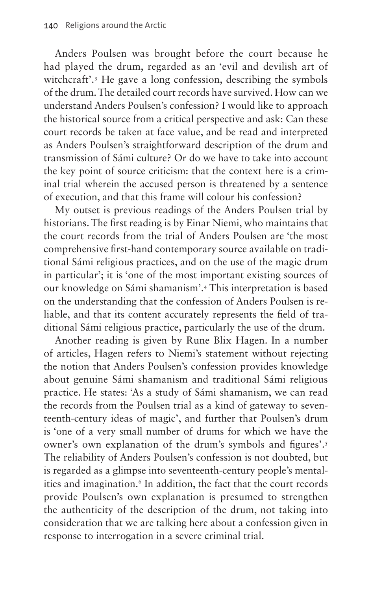Anders Poulsen was brought before the court because he had played the drum, regarded as an 'evil and devilish art of witchcraft'.[3](#page-16-2) He gave a long confession, describing the symbols of the drum. The detailed court records have survived. How can we understand Anders Poulsen's confession? I would like to approach the historical source from a critical perspective and ask: Can these court records be taken at face value, and be read and interpreted as Anders Poulsen's straightforward description of the drum and transmission of Sámi culture? Or do we have to take into account the key point of source criticism: that the context here is a criminal trial wherein the accused person is threatened by a sentence of execution, and that this frame will colour his confession?

My outset is previous readings of the Anders Poulsen trial by historians. The first reading is by Einar Niemi, who maintains that the court records from the trial of Anders Poulsen are 'the most comprehensive first-hand contemporary source available on traditional Sámi religious practices, and on the use of the magic drum in particular'; it is 'one of the most important existing sources of our knowledge on Sámi shamanism'[.4](#page-16-3) This interpretation is based on the understanding that the confession of Anders Poulsen is reliable, and that its content accurately represents the field of traditional Sámi religious practice, particularly the use of the drum.

Another reading is given by Rune Blix Hagen. In a number of articles, Hagen refers to Niemi's statement without rejecting the notion that Anders Poulsen's confession provides knowledge about genuine Sámi shamanism and traditional Sámi religious practice. He states: 'As a study of Sámi shamanism, we can read the records from the Poulsen trial as a kind of gateway to seventeenth-century ideas of magic', and further that Poulsen's drum is 'one of a very small number of drums for which we have the owner's own explanation of the drum's symbols and figures'.[5](#page-16-4) The reliability of Anders Poulsen's confession is not doubted, but is regarded as a glimpse into seventeenth-century people's mentalities and imagination.<sup>6</sup> In addition, the fact that the court records provide Poulsen's own explanation is presumed to strengthen the authenticity of the description of the drum, not taking into consideration that we are talking here about a confession given in response to interrogation in a severe criminal trial.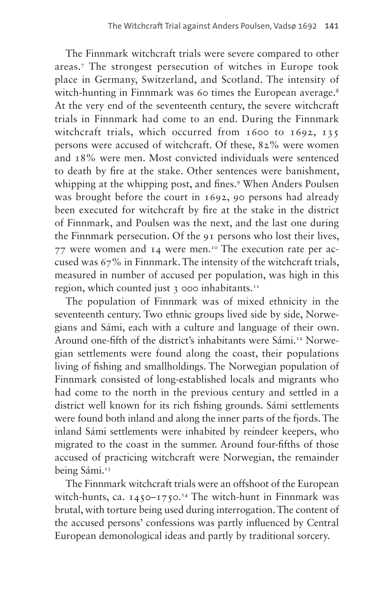The Finnmark witchcraft trials were severe compared to other areas.[7](#page-16-6) The strongest persecution of witches in Europe took place in Germany, Switzerland, and Scotland. The intensity of witch-hunting in Finnmark was 60 times the European average.<sup>8</sup> At the very end of the seventeenth century, the severe witchcraft trials in Finnmark had come to an end. During the Finnmark witchcraft trials, which occurred from 1600 to 1692, 135 persons were accused of witchcraft. Of these, 82% were women and 18% were men. Most convicted individuals were sentenced to death by fire at the stake. Other sentences were banishment, whipping at the whipping post, and fines.<sup>[9](#page-16-8)</sup> When Anders Poulsen was brought before the court in 1692, 90 persons had already been executed for witchcraft by fire at the stake in the district of Finnmark, and Poulsen was the next, and the last one during the Finnmark persecution. Of the 91 persons who lost their lives, 77 were women and  $I_4$  were men.<sup>10</sup> The execution rate per accused was 67% in Finnmark. The intensity of the witchcraft trials, measured in number of accused per population, was high in this region, which counted just 3 000 inhabitants.<sup>11</sup>

The population of Finnmark was of mixed ethnicity in the seventeenth century. Two ethnic groups lived side by side, Norwegians and Sámi, each with a culture and language of their own. Around one-fifth of the district's inhabitants were Sámi.<sup>12</sup> Norwegian settlements were found along the coast, their populations living of fishing and smallholdings. The Norwegian population of Finnmark consisted of long-established locals and migrants who had come to the north in the previous century and settled in a district well known for its rich fishing grounds. Sámi settlements were found both inland and along the inner parts of the fjords. The inland Sámi settlements were inhabited by reindeer keepers, who migrated to the coast in the summer. Around four-fifths of those accused of practicing witchcraft were Norwegian, the remainder being Sámi.<sup>13</sup>

The Finnmark witchcraft trials were an offshoot of the European witch-hunts, ca.  $1450 - 1750$ .<sup>14</sup> The witch-hunt in Finnmark was brutal, with torture being used during interrogation. The content of the accused persons' confessions was partly influenced by Central European demonological ideas and partly by traditional sorcery.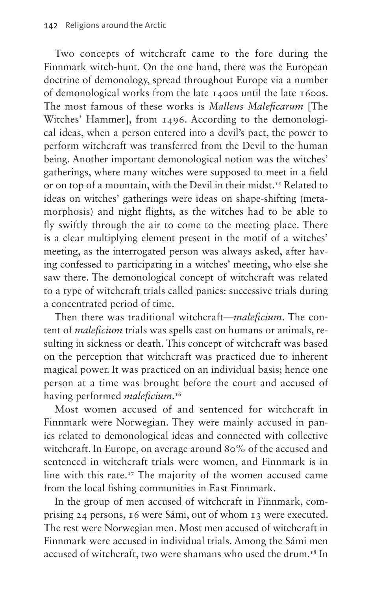Two concepts of witchcraft came to the fore during the Finnmark witch-hunt. On the one hand, there was the European doctrine of demonology, spread throughout Europe via a number of demonological works from the late 1400s until the late 1600s. The most famous of these works is *Malleus Maleficarum* [The Witches' Hammer], from 1496. According to the demonological ideas, when a person entered into a devil's pact, the power to perform witchcraft was transferred from the Devil to the human being. Another important demonological notion was the witches' gatherings, where many witches were supposed to meet in a field or on top of a mountain, with the Devil in their midst.<sup>15</sup> Related to ideas on witches' gatherings were ideas on shape-shifting (metamorphosis) and night flights, as the witches had to be able to fly swiftly through the air to come to the meeting place. There is a clear multiplying element present in the motif of a witches' meeting, as the interrogated person was always asked, after having confessed to participating in a witches' meeting, who else she saw there. The demonological concept of witchcraft was related to a type of witchcraft trials called panics: successive trials during a concentrated period of time.

Then there was traditional witchcraft—*maleficium*. The content of *maleficium* trials was spells cast on humans or animals, resulting in sickness or death. This concept of witchcraft was based on the perception that witchcraft was practiced due to inherent magical power. It was practiced on an individual basis; hence one person at a time was brought before the court and accused of having performed *maleficium*. [16](#page-16-15)

Most women accused of and sentenced for witchcraft in Finnmark were Norwegian. They were mainly accused in panics related to demonological ideas and connected with collective witchcraft. In Europe, on average around 80% of the accused and sentenced in witchcraft trials were women, and Finnmark is in line with this rate.<sup>17</sup> The majority of the women accused came from the local fishing communities in East Finnmark.

In the group of men accused of witchcraft in Finnmark, comprising 24 persons, 16 were Sámi, out of whom 13 were executed. The rest were Norwegian men. Most men accused of witchcraft in Finnmark were accused in individual trials. Among the Sámi men accused of witchcraft, two were shamans who used the drum.<sup>18</sup> In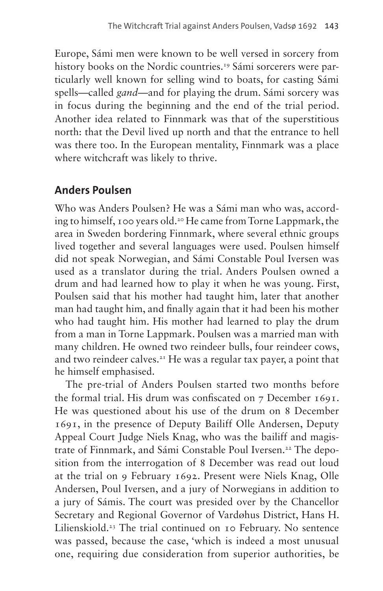Europe, Sámi men were known to be well versed in sorcery from history books on the Nordic countries.<sup>[19](#page-17-2)</sup> Sámi sorcerers were particularly well known for selling wind to boats, for casting Sámi spells—called *gand*—and for playing the drum. Sámi sorcery was in focus during the beginning and the end of the trial period. Another idea related to Finnmark was that of the superstitious north: that the Devil lived up north and that the entrance to hell was there too. In the European mentality, Finnmark was a place where witchcraft was likely to thrive.

#### **Anders Poulsen**

Who was Anders Poulsen? He was a Sámi man who was, according to himself, 100 years old.[20](#page-17-3) He came from Torne Lappmark, the area in Sweden bordering Finnmark, where several ethnic groups lived together and several languages were used. Poulsen himself did not speak Norwegian, and Sámi Constable Poul Iversen was used as a translator during the trial. Anders Poulsen owned a drum and had learned how to play it when he was young. First, Poulsen said that his mother had taught him, later that another man had taught him, and finally again that it had been his mother who had taught him. His mother had learned to play the drum from a man in Torne Lappmark. Poulsen was a married man with many children. He owned two reindeer bulls, four reindeer cows, and two reindeer calves.<sup>21</sup> He was a regular tax payer, a point that he himself emphasised.

The pre-trial of Anders Poulsen started two months before the formal trial. His drum was confiscated on 7 December 1691. He was questioned about his use of the drum on 8 December 1691, in the presence of Deputy Bailiff Olle Andersen, Deputy Appeal Court Judge Niels Knag, who was the bailiff and magis-trate of Finnmark, and Sámi Constable Poul Iversen.<sup>[22](#page-17-5)</sup> The deposition from the interrogation of 8 December was read out loud at the trial on 9 February 1692. Present were Niels Knag, Olle Andersen, Poul Iversen, and a jury of Norwegians in addition to a jury of Sámis. The court was presided over by the Chancellor Secretary and Regional Governor of Vardøhus District, Hans H. Lilienskiold[.23](#page-17-6) The trial continued on 10 February. No sentence was passed, because the case, 'which is indeed a most unusual one, requiring due consideration from superior authorities, be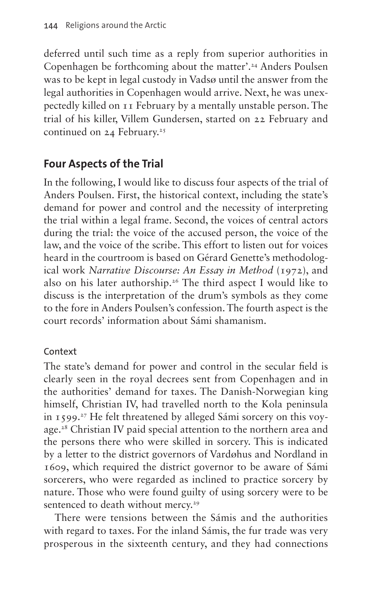deferred until such time as a reply from superior authorities in Copenhagen be forthcoming about the matter'.<sup>24</sup> Anders Poulsen was to be kept in legal custody in Vadsø until the answer from the legal authorities in Copenhagen would arrive. Next, he was unexpectedly killed on 11 February by a mentally unstable person. The trial of his killer, Villem Gundersen, started on 22 February and continued on  $24$  February.<sup>25</sup>

# **Four Aspects of the Trial**

In the following, I would like to discuss four aspects of the trial of Anders Poulsen. First, the historical context, including the state's demand for power and control and the necessity of interpreting the trial within a legal frame. Second, the voices of central actors during the trial: the voice of the accused person, the voice of the law, and the voice of the scribe. This effort to listen out for voices heard in the courtroom is based on Gérard Genette's methodological work *Narrative Discourse: An Essay in Method* (1972), and also on his later authorship[.26](#page-17-9) The third aspect I would like to discuss is the interpretation of the drum's symbols as they come to the fore in Anders Poulsen's confession. The fourth aspect is the court records' information about Sámi shamanism.

#### Context

The state's demand for power and control in the secular field is clearly seen in the royal decrees sent from Copenhagen and in the authorities' demand for taxes. The Danish-Norwegian king himself, Christian IV, had travelled north to the Kola peninsula in  $1599.^{27}$  He felt threatened by alleged Sámi sorcery on this voyage[.28](#page-17-11) Christian IV paid special attention to the northern area and the persons there who were skilled in sorcery. This is indicated by a letter to the district governors of Vardøhus and Nordland in 1609, which required the district governor to be aware of Sámi sorcerers, who were regarded as inclined to practice sorcery by nature. Those who were found guilty of using sorcery were to be sentenced to death without mercy.<sup>29</sup>

There were tensions between the Sámis and the authorities with regard to taxes. For the inland Sámis, the fur trade was very prosperous in the sixteenth century, and they had connections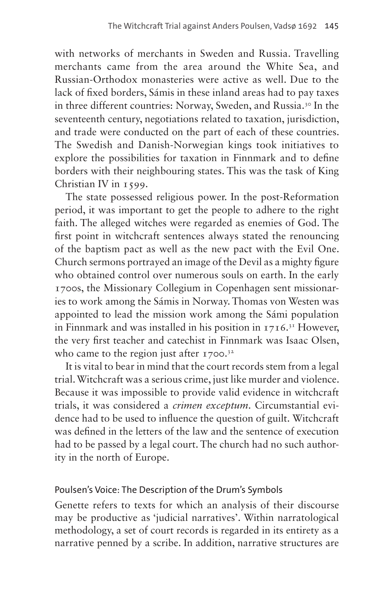with networks of merchants in Sweden and Russia. Travelling merchants came from the area around the White Sea, and Russian-Orthodox monasteries were active as well. Due to the lack of fixed borders, Sámis in these inland areas had to pay taxes in three different countries: Norway, Sweden, and Russia.<sup>30</sup> In the seventeenth century, negotiations related to taxation, jurisdiction, and trade were conducted on the part of each of these countries. The Swedish and Danish-Norwegian kings took initiatives to explore the possibilities for taxation in Finnmark and to define borders with their neighbouring states. This was the task of King Christian IV in 1599.

The state possessed religious power. In the post-Reformation period, it was important to get the people to adhere to the right faith. The alleged witches were regarded as enemies of God. The first point in witchcraft sentences always stated the renouncing of the baptism pact as well as the new pact with the Evil One. Church sermons portrayed an image of the Devil as a mighty figure who obtained control over numerous souls on earth. In the early 1700s, the Missionary Collegium in Copenhagen sent missionaries to work among the Sámis in Norway. Thomas von Westen was appointed to lead the mission work among the Sámi population in Finnmark and was installed in his position in  $1716$ <sup>31</sup> However, the very first teacher and catechist in Finnmark was Isaac Olsen, who came to the region just after  $1700.^32$  $1700.^32$ 

It is vital to bear in mind that the court records stem from a legal trial. Witchcraft was a serious crime, just like murder and violence. Because it was impossible to provide valid evidence in witchcraft trials, it was considered a *crimen exceptum*. Circumstantial evidence had to be used to influence the question of guilt. Witchcraft was defined in the letters of the law and the sentence of execution had to be passed by a legal court. The church had no such authority in the north of Europe.

#### Poulsen's Voice: The Description of the Drum's Symbols

Genette refers to texts for which an analysis of their discourse may be productive as 'judicial narratives'. Within narratological methodology, a set of court records is regarded in its entirety as a narrative penned by a scribe. In addition, narrative structures are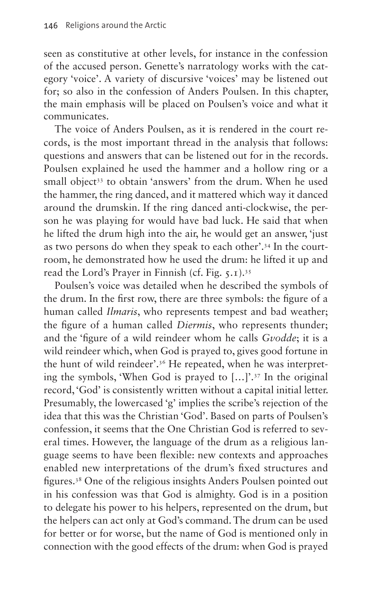seen as constitutive at other levels, for instance in the confession of the accused person. Genette's narratology works with the category 'voice'. A variety of discursive 'voices' may be listened out for; so also in the confession of Anders Poulsen. In this chapter, the main emphasis will be placed on Poulsen's voice and what it communicates.

The voice of Anders Poulsen, as it is rendered in the court records, is the most important thread in the analysis that follows: questions and answers that can be listened out for in the records. Poulsen explained he used the hammer and a hollow ring or a small object<sup>33</sup> to obtain 'answers' from the drum. When he used the hammer, the ring danced, and it mattered which way it danced around the drumskin. If the ring danced anti-clockwise, the person he was playing for would have bad luck. He said that when he lifted the drum high into the air, he would get an answer, 'just as two persons do when they speak to each other'.[34](#page-17-17) In the courtroom, he demonstrated how he used the drum: he lifted it up and read the Lord's Prayer in Finnish (cf. [Fig. 5.1](#page-8-0)).[35](#page-17-18)

Poulsen's voice was detailed when he described the symbols of the drum. In the first row, there are three symbols: the figure of a human called *Ilmaris*, who represents tempest and bad weather; the figure of a human called *Diermis*, who represents thunder; and the 'figure of a wild reindeer whom he calls *Gvodde*; it is a wild reindeer which, when God is prayed to, gives good fortune in the hunt of wild reindeer'.[36](#page-17-19) He repeated, when he was interpreting the symbols, 'When God is prayed to […]'[.37](#page-17-20) In the original record, 'God' is consistently written without a capital initial letter. Presumably, the lowercased 'g' implies the scribe's rejection of the idea that this was the Christian 'God'. Based on parts of Poulsen's confession, it seems that the One Christian God is referred to several times. However, the language of the drum as a religious language seems to have been flexible: new contexts and approaches enabled new interpretations of the drum's fixed structures and figures[.38](#page-17-21) One of the religious insights Anders Poulsen pointed out in his confession was that God is almighty. God is in a position to delegate his power to his helpers, represented on the drum, but the helpers can act only at God's command. The drum can be used for better or for worse, but the name of God is mentioned only in connection with the good effects of the drum: when God is prayed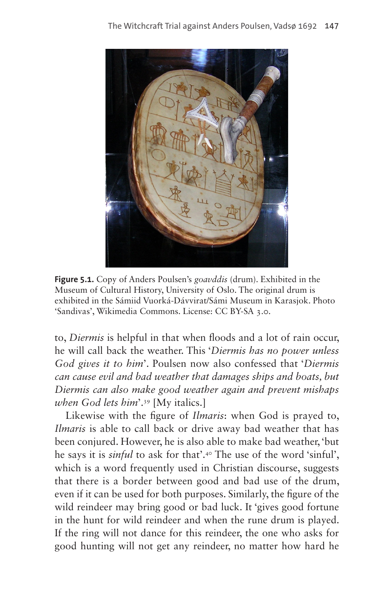

**Figure 5.1.** Copy of Anders Poulsen's *goavddis* (drum). Exhibited in the Museum of Cultural History, University of Oslo. The original drum is exhibited in the Sámiid Vuorká-Dávvirat/Sámi Museum in Karasjok. Photo 'Sandivas', [Wikimedia Commons.](https://commons.wikimedia.org/wiki/File:Rune_drum_1691_AD_crop.jpg) License: CC BY-SA 3.0.

<span id="page-8-0"></span>to, *Diermis* is helpful in that when floods and a lot of rain occur, he will call back the weather. This '*Diermis has no power unless God gives it to him*'. Poulsen now also confessed that '*Diermis can cause evil and bad weather that damages ships and boats, but Diermis can also make good weather again and prevent mishaps when God lets him*'.[39](#page-17-22) [My italics.]

Likewise with the figure of *Ilmaris*: when God is prayed to, *Ilmaris* is able to call back or drive away bad weather that has been conjured. However, he is also able to make bad weather, 'but he says it is *sinful* to ask for that'.[40](#page-18-0) The use of the word 'sinful', which is a word frequently used in Christian discourse, suggests that there is a border between good and bad use of the drum, even if it can be used for both purposes. Similarly, the figure of the wild reindeer may bring good or bad luck. It 'gives good fortune in the hunt for wild reindeer and when the rune drum is played. If the ring will not dance for this reindeer, the one who asks for good hunting will not get any reindeer, no matter how hard he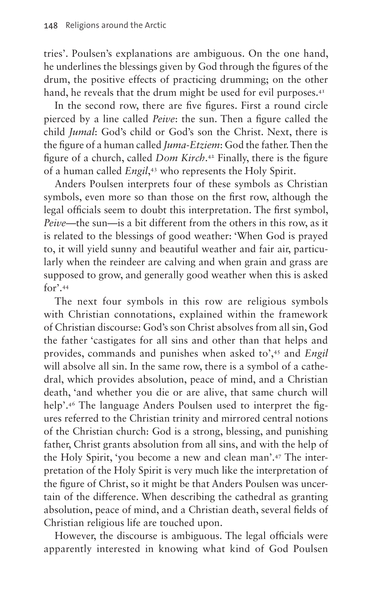tries'. Poulsen's explanations are ambiguous. On the one hand, he underlines the blessings given by God through the figures of the drum, the positive effects of practicing drumming; on the other hand, he reveals that the drum might be used for evil purposes.<sup>41</sup>

In the second row, there are five figures. First a round circle pierced by a line called *Peive*: the sun. Then a figure called the child *Jumal*: God's child or God's son the Christ. Next, there is the figure of a human called *Juma-Etziem*: God the father. Then the figure of a church, called *Dom Kirch*. [42](#page-18-2) Finally, there is the figure of a human called *Engil*, [43](#page-18-3) who represents the Holy Spirit.

Anders Poulsen interprets four of these symbols as Christian symbols, even more so than those on the first row, although the legal officials seem to doubt this interpretation. The first symbol, *Peive—*the sun—is a bit different from the others in this row, as it is related to the blessings of good weather: 'When God is prayed to, it will yield sunny and beautiful weather and fair air, particularly when the reindeer are calving and when grain and grass are supposed to grow, and generally good weather when this is asked  $for'$  [44](#page-18-4)

The next four symbols in this row are religious symbols with Christian connotations, explained within the framework of Christian discourse: God's son Christ absolves from all sin, God the father 'castigates for all sins and other than that helps and provides, commands and punishes when asked to',[45](#page-18-5) and *Engil*  will absolve all sin. In the same row, there is a symbol of a cathedral, which provides absolution, peace of mind, and a Christian death, 'and whether you die or are alive, that same church will help'.[46](#page-18-6) The language Anders Poulsen used to interpret the figures referred to the Christian trinity and mirrored central notions of the Christian church: God is a strong, blessing, and punishing father, Christ grants absolution from all sins, and with the help of the Holy Spirit, 'you become a new and clean man'[.47](#page-18-7) The interpretation of the Holy Spirit is very much like the interpretation of the figure of Christ, so it might be that Anders Poulsen was uncertain of the difference. When describing the cathedral as granting absolution, peace of mind, and a Christian death, several fields of Christian religious life are touched upon.

However, the discourse is ambiguous. The legal officials were apparently interested in knowing what kind of God Poulsen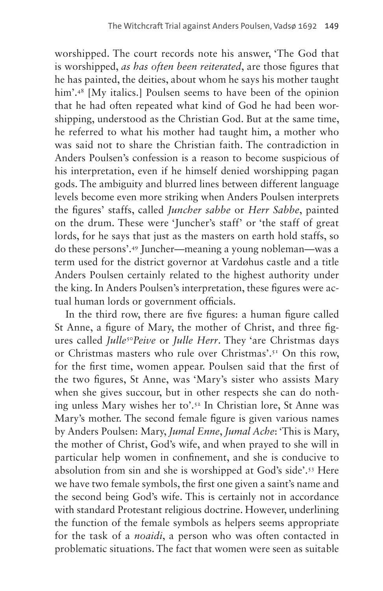worshipped. The court records note his answer, 'The God that is worshipped, *as has often been reiterated*, are those figures that he has painted, the deities, about whom he says his mother taught him'.<sup>48</sup> [My italics.] Poulsen seems to have been of the opinion that he had often repeated what kind of God he had been worshipping, understood as the Christian God. But at the same time, he referred to what his mother had taught him, a mother who was said not to share the Christian faith. The contradiction in Anders Poulsen's confession is a reason to become suspicious of his interpretation, even if he himself denied worshipping pagan gods. The ambiguity and blurred lines between different language levels become even more striking when Anders Poulsen interprets the figures' staffs, called *Juncher sabbe* or *Herr Sabbe*, painted on the drum. These were 'Juncher's staff' or 'the staff of great lords, for he says that just as the masters on earth hold staffs, so do these persons'[.49](#page-18-9) Juncher—meaning a young nobleman—was a term used for the district governor at Vardøhus castle and a title Anders Poulsen certainly related to the highest authority under the king. In Anders Poulsen's interpretation, these figures were actual human lords or government officials.

In the third row, there are five figures: a human figure called St Anne, a figure of Mary, the mother of Christ, and three figures called *Julle*[50](#page-18-10)*Peive* or *Julle Herr*. They 'are Christmas days or Christmas masters who rule over Christmas'.<sup>51</sup> On this row, for the first time, women appear. Poulsen said that the first of the two figures, St Anne, was 'Mary's sister who assists Mary when she gives succour, but in other respects she can do nothing unless Mary wishes her to'[.52](#page-18-12) In Christian lore, St Anne was Mary's mother. The second female figure is given various names by Anders Poulsen: Mary, *Jumal Enne*, *Jumal Ache*: 'This is Mary, the mother of Christ, God's wife, and when prayed to she will in particular help women in confinement, and she is conducive to absolution from sin and she is worshipped at God's side'[.53](#page-18-13) Here we have two female symbols, the first one given a saint's name and the second being God's wife. This is certainly not in accordance with standard Protestant religious doctrine. However, underlining the function of the female symbols as helpers seems appropriate for the task of a *noaidi*, a person who was often contacted in problematic situations. The fact that women were seen as suitable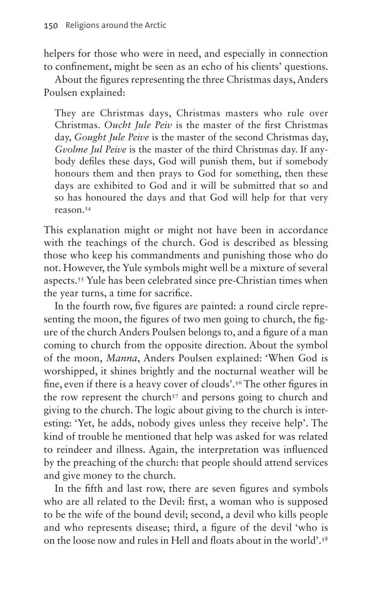helpers for those who were in need, and especially in connection to confinement, might be seen as an echo of his clients' questions.

About the figures representing the three Christmas days, Anders Poulsen explained:

They are Christmas days, Christmas masters who rule over Christmas. *Oucht Jule Peiv* is the master of the first Christmas day, *Gought Jule Peive* is the master of the second Christmas day, *Gvolme Jul Peive* is the master of the third Christmas day. If anybody defiles these days, God will punish them, but if somebody honours them and then prays to God for something, then these days are exhibited to God and it will be submitted that so and so has honoured the days and that God will help for that very reason.[54](#page-18-14)

This explanation might or might not have been in accordance with the teachings of the church. God is described as blessing those who keep his commandments and punishing those who do not. However, the Yule symbols might well be a mixture of several aspects[.55](#page-18-15) Yule has been celebrated since pre-Christian times when the year turns, a time for sacrifice.

In the fourth row, five figures are painted: a round circle representing the moon, the figures of two men going to church, the figure of the church Anders Poulsen belongs to, and a figure of a man coming to church from the opposite direction. About the symbol of the moon, *Manna*, Anders Poulsen explained: 'When God is worshipped, it shines brightly and the nocturnal weather will be fine, even if there is a heavy cover of clouds'.[56](#page-18-16) The other figures in the row represent the church<sup>57</sup> and persons going to church and giving to the church. The logic about giving to the church is interesting: 'Yet, he adds, nobody gives unless they receive help'. The kind of trouble he mentioned that help was asked for was related to reindeer and illness. Again, the interpretation was influenced by the preaching of the church: that people should attend services and give money to the church.

In the fifth and last row, there are seven figures and symbols who are all related to the Devil: first, a woman who is supposed to be the wife of the bound devil; second, a devil who kills people and who represents disease; third, a figure of the devil 'who is on the loose now and rules in Hell and floats about in the world'[.58](#page-18-18)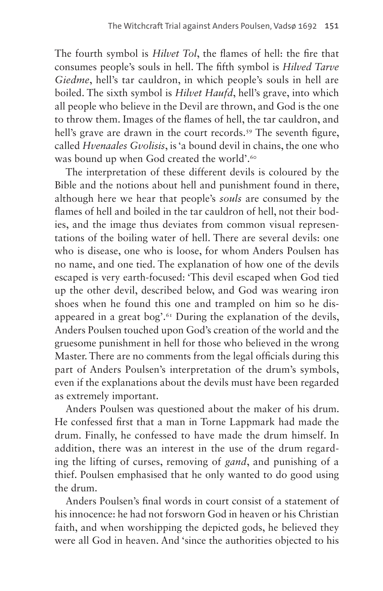The fourth symbol is *Hilvet Tol*, the flames of hell: the fire that consumes people's souls in hell. The fifth symbol is *Hilved Tarve Giedme*, hell's tar cauldron, in which people's souls in hell are boiled. The sixth symbol is *Hilvet Haufd*, hell's grave, into which all people who believe in the Devil are thrown, and God is the one to throw them. Images of the flames of hell, the tar cauldron, and hell's grave are drawn in the court records.<sup>59</sup> The seventh figure, called *Hvenaales Gvolisis*, is 'a bound devil in chains, the one who was bound up when God created the world'.<sup>60</sup>

The interpretation of these different devils is coloured by the Bible and the notions about hell and punishment found in there, although here we hear that people's *souls* are consumed by the flames of hell and boiled in the tar cauldron of hell, not their bodies, and the image thus deviates from common visual representations of the boiling water of hell. There are several devils: one who is disease, one who is loose, for whom Anders Poulsen has no name, and one tied. The explanation of how one of the devils escaped is very earth-focused: 'This devil escaped when God tied up the other devil, described below, and God was wearing iron shoes when he found this one and trampled on him so he disappeared in a great bog'. $61$  During the explanation of the devils, Anders Poulsen touched upon God's creation of the world and the gruesome punishment in hell for those who believed in the wrong Master. There are no comments from the legal officials during this part of Anders Poulsen's interpretation of the drum's symbols, even if the explanations about the devils must have been regarded as extremely important.

Anders Poulsen was questioned about the maker of his drum. He confessed first that a man in Torne Lappmark had made the drum. Finally, he confessed to have made the drum himself. In addition, there was an interest in the use of the drum regarding the lifting of curses, removing of *gand*, and punishing of a thief. Poulsen emphasised that he only wanted to do good using the drum.

Anders Poulsen's final words in court consist of a statement of his innocence: he had not forsworn God in heaven or his Christian faith, and when worshipping the depicted gods, he believed they were all God in heaven. And 'since the authorities objected to his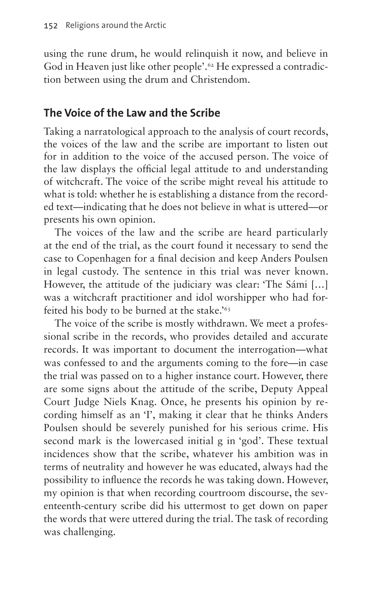using the rune drum, he would relinquish it now, and believe in God in Heaven just like other people'.<sup>62</sup> He expressed a contradiction between using the drum and Christendom.

### **The Voice of the Law and the Scribe**

Taking a narratological approach to the analysis of court records, the voices of the law and the scribe are important to listen out for in addition to the voice of the accused person. The voice of the law displays the official legal attitude to and understanding of witchcraft. The voice of the scribe might reveal his attitude to what is told: whether he is establishing a distance from the recorded text—indicating that he does not believe in what is uttered—or presents his own opinion.

The voices of the law and the scribe are heard particularly at the end of the trial, as the court found it necessary to send the case to Copenhagen for a final decision and keep Anders Poulsen in legal custody. The sentence in this trial was never known. However, the attitude of the judiciary was clear: 'The Sámi […] was a witchcraft practitioner and idol worshipper who had forfeited his body to be burned at the stake.['63](#page-18-23)

The voice of the scribe is mostly withdrawn. We meet a professional scribe in the records, who provides detailed and accurate records. It was important to document the interrogation—what was confessed to and the arguments coming to the fore—in case the trial was passed on to a higher instance court. However, there are some signs about the attitude of the scribe, Deputy Appeal Court Judge Niels Knag. Once, he presents his opinion by recording himself as an 'I', making it clear that he thinks Anders Poulsen should be severely punished for his serious crime. His second mark is the lowercased initial g in 'god'. These textual incidences show that the scribe, whatever his ambition was in terms of neutrality and however he was educated, always had the possibility to influence the records he was taking down. However, my opinion is that when recording courtroom discourse, the seventeenth-century scribe did his uttermost to get down on paper the words that were uttered during the trial. The task of recording was challenging.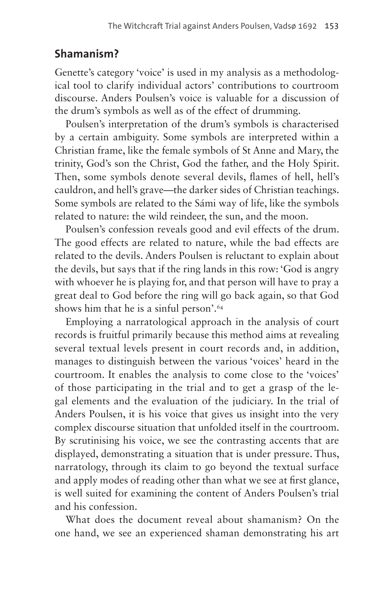# **Shamanism?**

Genette's category 'voice' is used in my analysis as a methodological tool to clarify individual actors' contributions to courtroom discourse. Anders Poulsen's voice is valuable for a discussion of the drum's symbols as well as of the effect of drumming.

Poulsen's interpretation of the drum's symbols is characterised by a certain ambiguity. Some symbols are interpreted within a Christian frame, like the female symbols of St Anne and Mary, the trinity, God's son the Christ, God the father, and the Holy Spirit. Then, some symbols denote several devils, flames of hell, hell's cauldron, and hell's grave—the darker sides of Christian teachings. Some symbols are related to the Sámi way of life, like the symbols related to nature: the wild reindeer, the sun, and the moon.

Poulsen's confession reveals good and evil effects of the drum. The good effects are related to nature, while the bad effects are related to the devils. Anders Poulsen is reluctant to explain about the devils, but says that if the ring lands in this row: 'God is angry with whoever he is playing for, and that person will have to pray a great deal to God before the ring will go back again, so that God shows him that he is a sinful person'.[64](#page-18-24)

Employing a narratological approach in the analysis of court records is fruitful primarily because this method aims at revealing several textual levels present in court records and, in addition, manages to distinguish between the various 'voices' heard in the courtroom. It enables the analysis to come close to the 'voices' of those participating in the trial and to get a grasp of the legal elements and the evaluation of the judiciary. In the trial of Anders Poulsen, it is his voice that gives us insight into the very complex discourse situation that unfolded itself in the courtroom. By scrutinising his voice, we see the contrasting accents that are displayed, demonstrating a situation that is under pressure. Thus, narratology, through its claim to go beyond the textual surface and apply modes of reading other than what we see at first glance, is well suited for examining the content of Anders Poulsen's trial and his confession.

What does the document reveal about shamanism? On the one hand, we see an experienced shaman demonstrating his art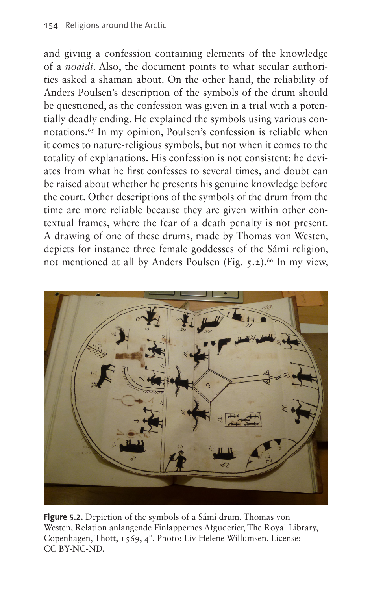and giving a confession containing elements of the knowledge of a *noaidi*. Also, the document points to what secular authorities asked a shaman about. On the other hand, the reliability of Anders Poulsen's description of the symbols of the drum should be questioned, as the confession was given in a trial with a potentially deadly ending. He explained the symbols using various connotations.<sup>65</sup> In my opinion, Poulsen's confession is reliable when it comes to nature-religious symbols, but not when it comes to the totality of explanations. His confession is not consistent: he deviates from what he first confesses to several times, and doubt can be raised about whether he presents his genuine knowledge before the court. Other descriptions of the symbols of the drum from the time are more reliable because they are given within other contextual frames, where the fear of a death penalty is not present. A drawing of one of these drums, made by Thomas von Westen, depicts for instance three female goddesses of the Sámi religion, not mentioned at all by Anders Poulsen [\(Fig. 5.2](#page-15-0)).<sup>66</sup> In my view,

<span id="page-15-0"></span>

**Figure 5.2.** Depiction of the symbols of a Sámi drum. Thomas von Westen, Relation anlangende Finlappernes Afguderier, The Royal Library, Copenhagen, Thott, 1569, 4°. Photo: Liv Helene Willumsen. License: CC BY-NC-ND.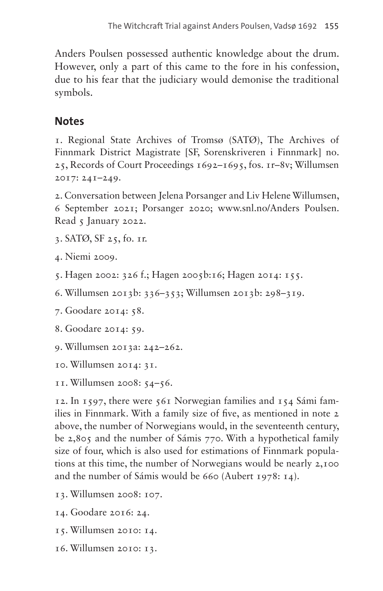Anders Poulsen possessed authentic knowledge about the drum. However, only a part of this came to the fore in his confession, due to his fear that the judiciary would demonise the traditional symbols.

### **Notes**

<span id="page-16-0"></span>1. Regional State Archives of Tromsø (SATØ), The Archives of Finnmark District Magistrate [SF, Sorenskriveren i Finnmark] no. 25, Records of Court Proceedings 1692–1695, fos. 1r–8v; Willumsen 2017: 241–249.

<span id="page-16-1"></span>2. Conversation between Jelena Porsanger and Liv Helene Willumsen, 6 September 2021; Porsanger 2020; [www.snl.no/Anders](http://www.snl.no/Anders) Poulsen. Read 5 January 2022.

<span id="page-16-2"></span>3. SATØ, SF 25, fo. 1r.

<span id="page-16-3"></span>4. Niemi 2009.

<span id="page-16-4"></span>5. Hagen 2002: 326 f.; Hagen 2005b:16; Hagen 2014: 155.

<span id="page-16-5"></span>6. Willumsen 2013b: 336–353; Willumsen 2013b: 298–319.

<span id="page-16-6"></span>7. Goodare 2014: 58.

<span id="page-16-7"></span>8. Goodare 2014: 59.

<span id="page-16-8"></span>9. Willumsen 2013a: 242–262.

<span id="page-16-9"></span>10. Willumsen 2014: 31.

<span id="page-16-10"></span>11. Willumsen 2008: 54–56.

<span id="page-16-11"></span>12. In 1597, there were 561 Norwegian families and 154 Sámi families in Finnmark. With a family size of five, as mentioned in note 2 above, the number of Norwegians would, in the seventeenth century, be 2,805 and the number of Sámis 770. With a hypothetical family size of four, which is also used for estimations of Finnmark populations at this time, the number of Norwegians would be nearly 2,100 and the number of Sámis would be 660 (Aubert 1978: 14).

- <span id="page-16-12"></span>13. Willumsen 2008: 107.
- <span id="page-16-13"></span>14. Goodare 2016: 24.
- <span id="page-16-14"></span>15. Willumsen 2010: 14.
- <span id="page-16-15"></span>16. Willumsen 2010: 13.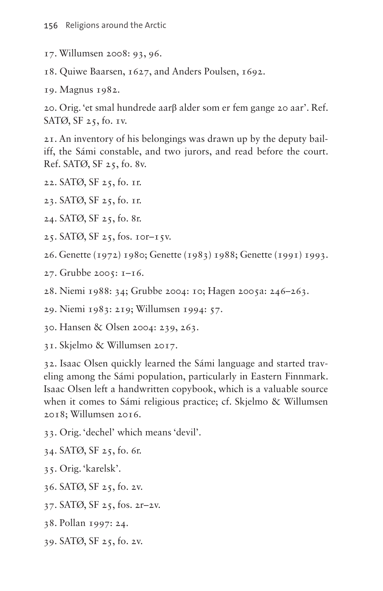- <span id="page-17-0"></span>17. Willumsen 2008: 93, 96.
- <span id="page-17-1"></span>18. Quiwe Baarsen, 1627, and Anders Poulsen, 1692.

<span id="page-17-2"></span>19. Magnus 1982.

<span id="page-17-3"></span>20. Orig. 'et smal hundrede aarβ alder som er fem gange 20 aar'. Ref. SATØ, SF 25, fo. 1v.

<span id="page-17-4"></span>21. An inventory of his belongings was drawn up by the deputy bailiff, the Sámi constable, and two jurors, and read before the court. Ref. SATØ, SF 25, fo. 8v.

<span id="page-17-5"></span>22. SATØ, SF 25, fo. 1r.

<span id="page-17-6"></span>23. SATØ, SF 25, fo. 1r.

- <span id="page-17-7"></span>24. SATØ, SF 25, fo. 8r.
- <span id="page-17-8"></span>25. SATØ, SF 25, fos. 10r–15v.
- <span id="page-17-9"></span>26. Genette (1972) 1980; Genette (1983) 1988; Genette (1991) 1993.
- <span id="page-17-10"></span>27. Grubbe 2005: 1–16.
- <span id="page-17-11"></span>28. Niemi 1988: 34; Grubbe 2004: 10; Hagen 2005a: 246–263.

<span id="page-17-12"></span>29. Niemi 1983: 219; Willumsen 1994: 57.

<span id="page-17-13"></span>30. Hansen & Olsen 2004: 239, 263.

<span id="page-17-14"></span>31. Skjelmo & Willumsen 2017.

<span id="page-17-15"></span>32. Isaac Olsen quickly learned the Sámi language and started traveling among the Sámi population, particularly in Eastern Finnmark. Isaac Olsen left a handwritten copybook, which is a valuable source when it comes to Sámi religious practice; cf. Skjelmo & Willumsen 2018; Willumsen 2016.

- <span id="page-17-16"></span>33. Orig. 'dechel' which means 'devil'.
- <span id="page-17-17"></span>34. SATØ, SF 25, fo. 6r.
- <span id="page-17-18"></span>35. Orig. 'karelsk'.
- <span id="page-17-19"></span>36. SATØ, SF 25, fo. 2v.
- <span id="page-17-20"></span>37. SATØ, SF 25, fos. 2r–2v.
- <span id="page-17-21"></span>38. Pollan 1997: 24.
- <span id="page-17-22"></span>39. SATØ, SF 25, fo. 2v.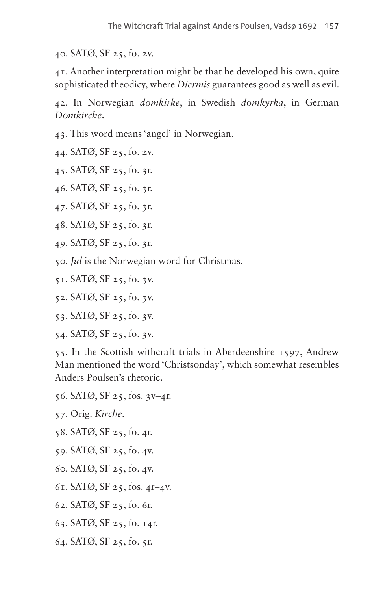<span id="page-18-0"></span>40. SATØ, SF 25, fo. 2v.

<span id="page-18-1"></span>41. Another interpretation might be that he developed his own, quite sophisticated theodicy, where *Diermis* guarantees good as well as evil.

<span id="page-18-2"></span>42. In Norwegian *domkirke*, in Swedish *domkyrka*, in German *Domkirche*.

<span id="page-18-3"></span>43. This word means 'angel' in Norwegian.

<span id="page-18-4"></span>44. SATØ, SF 25, fo. 2v.

<span id="page-18-5"></span>45. SATØ, SF 25, fo. 3r.

<span id="page-18-6"></span>46. SATØ, SF 25, fo. 3r.

<span id="page-18-7"></span>47. SATØ, SF 25, fo. 3r.

<span id="page-18-8"></span>48. SATØ, SF 25, fo. 3r.

<span id="page-18-9"></span>49. SATØ, SF 25, fo. 3r.

<span id="page-18-10"></span>50. *Jul* is the Norwegian word for Christmas.

<span id="page-18-11"></span>51. SATØ, SF 25, fo. 3v.

<span id="page-18-12"></span>52. SATØ, SF 25, fo. 3v.

<span id="page-18-13"></span>53. SATØ, SF 25, fo. 3v.

<span id="page-18-14"></span>54. SATØ, SF 25, fo. 3v.

<span id="page-18-15"></span>55. In the Scottish withcraft trials in Aberdeenshire 1597, Andrew Man mentioned the word 'Christsonday', which somewhat resembles Anders Poulsen's rhetoric.

<span id="page-18-16"></span>56. SATØ, SF 25, fos. 3v–4r.

<span id="page-18-17"></span>57. Orig. *Kirche*.

- <span id="page-18-18"></span>58. SATØ, SF 25, fo. 4r.
- <span id="page-18-19"></span>59. SATØ, SF 25, fo. 4v.
- <span id="page-18-20"></span>60. SATØ, SF 25, fo. 4v.
- <span id="page-18-21"></span>61. SATØ, SF 25, fos. 4r–4v.
- <span id="page-18-22"></span>62. SATØ, SF 25, fo. 6r.
- <span id="page-18-23"></span>63. SATØ, SF 25, fo. 14r.
- <span id="page-18-24"></span>64. SATØ, SF 25, fo. 5r.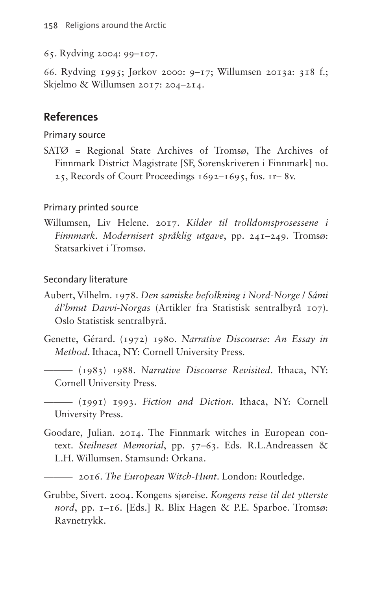<span id="page-19-0"></span>65. Rydving 2004: 99–107.

<span id="page-19-1"></span>66. Rydving 1995; Jørkov 2000: 9–17; Willumsen 2013a: 318 f.; Skjelmo & Willumsen 2017: 204–214.

#### **References**

Primary source

SATØ = Regional State Archives of Tromsø, The Archives of Finnmark District Magistrate [SF, Sorenskriveren i Finnmark] no. 25, Records of Court Proceedings 1692–1695, fos. 1r– 8v.

#### Primary printed source

Willumsen, Liv Helene. 2017. *Kilder til trolldomsprosessene i Finnmark. Modernisert språklig utgave*, pp. 241–249. Tromsø: Statsarkivet i Tromsø.

#### Secondary literature

- Aubert, Vilhelm. 1978. *Den samiske befolkning i Nord-Norge* / *Sámi ál'bmut Davvi-Norgas* (Artikler fra Statistisk sentralbyrå 107). Oslo Statistisk sentralbyrå.
- Genette, Gérard. (1972) 1980. *Narrative Discourse: An Essay in Method*. Ithaca, NY: Cornell University Press.
	- ——— (1983) 1988. *Narrative Discourse Revisited*. Ithaca, NY: Cornell University Press.
	- ——— (1991) 1993. *Fiction and Diction*. Ithaca, NY: Cornell University Press.
- Goodare, Julian. 2014. The Finnmark witches in European context. *Steilneset Memorial*, pp. 57–63. Eds. R.L.Andreassen & L.H. Willumsen. Stamsund: Orkana.
- ——— 2016. *The European Witch-Hunt*. London: Routledge.
- Grubbe, Sivert. 2004. Kongens sjøreise. *Kongens reise til det ytterste nord*, pp. 1–16. [Eds.] R. Blix Hagen & P.E. Sparboe. Tromsø: Ravnetrykk.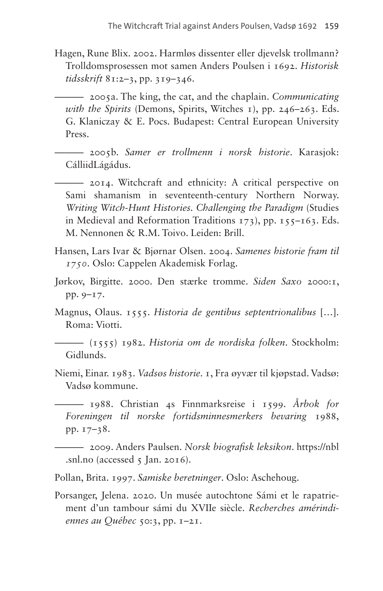Hagen, Rune Blix. 2002. Harmløs dissenter eller djevelsk trollmann? Trolldomsprosessen mot samen Anders Poulsen i 1692. *Historisk tidsskrift* 81:2–3, pp. 319–346.

——— 2005a. The king, the cat, and the chaplain. *Communicating with the Spirits* (Demons, Spirits, Witches 1), pp. 246–263. Eds. G. Klaniczay & E. Pocs. Budapest: Central European University Press.

——— 2005b. *Samer er trollmenn i norsk historie*. Karasjok: CálliidLágádus.

——— 2014. Witchcraft and ethnicity: A critical perspective on Sami shamanism in seventeenth-century Northern Norway. *Writing Witch-Hunt Histories. Challenging the Paradigm* (Studies in Medieval and Reformation Traditions 173), pp. 155–163. Eds. M. Nennonen & R.M. Toivo. Leiden: Brill.

- Hansen, Lars Ivar & Bjørnar Olsen. 2004. *Samenes historie fram til 1750*. Oslo: Cappelen Akademisk Forlag.
- Jørkov, Birgitte. 2000. Den stærke tromme. *Siden Saxo* 2000:1, pp. 9–17.
- Magnus, Olaus. 1555. *Historia de gentibus septentrionalibus* […]. Roma: Viotti.

——— (1555) 1982. *Historia om de nordiska folken*. Stockholm: Gidlunds.

Niemi, Einar. 1983. *Vadsøs historie*. 1, Fra øyvær til kjøpstad. Vadsø: Vadsø kommune.

——— 1988. Christian 4s Finnmarksreise i 1599. *Årbok for Foreningen til norske fortidsminnesmerkers bevaring* 1988, pp. 17–38.

——— 2009. Anders Paulsen. *Norsk biografisk leksikon*. [https://nbl](https://nbl.snl.no) [.snl.no](https://nbl.snl.no) (accessed  $5$  Jan. 2016).

Pollan, Brita. 1997. *Samiske beretninger*. Oslo: Aschehoug.

Porsanger, Jelena. 2020. Un musée autochtone Sámi et le rapatriement d'un tambour sámi du XVIIe siècle. *Recherches amérindiennes au Québec* 50:3, pp. 1–21.